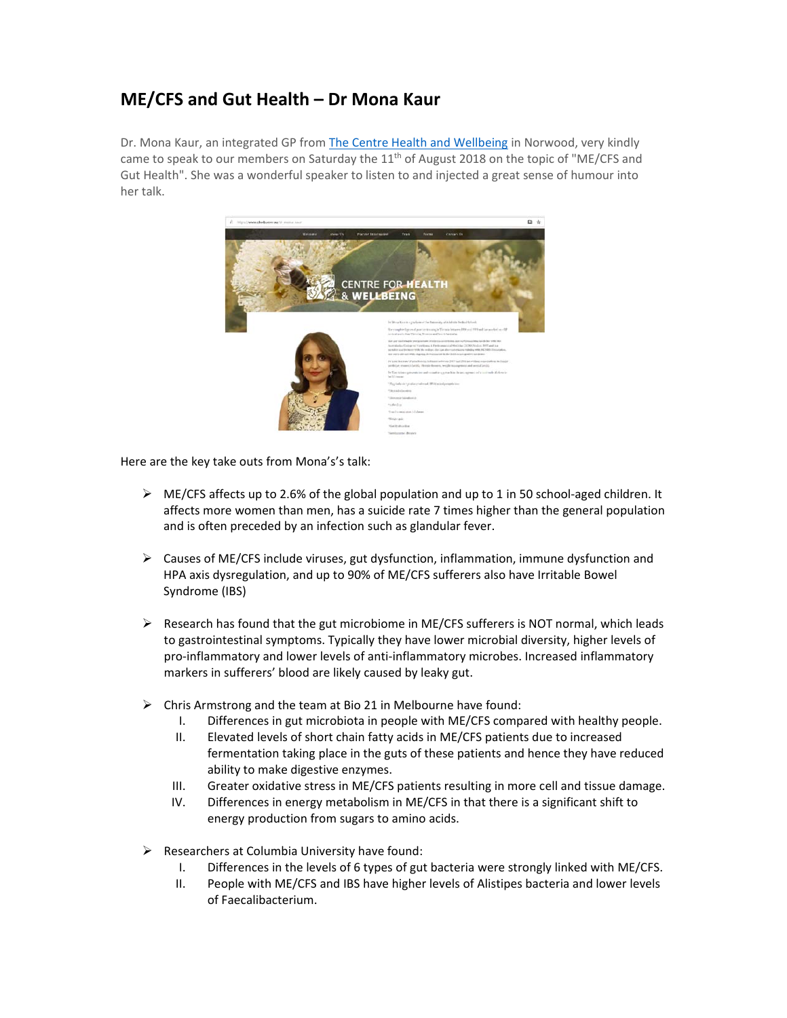## **ME/CFS and Gut Health – Dr Mona Kaur**

Dr. Mona Kaur, an integrated GP from The Centre Health and Wellbeing in Norwood, very kindly came to speak to our members on Saturday the  $11<sup>th</sup>$  of August 2018 on the topic of "ME/CFS and Gut Health". She was a wonderful speaker to listen to and injected a great sense of humour into her talk.



Here are the key take outs from Mona's's talk:

- ME/CFS affects up to 2.6% of the global population and up to 1 in 50 school‐aged children. It affects more women than men, has a suicide rate 7 times higher than the general population and is often preceded by an infection such as glandular fever.
- $\triangleright$  Causes of ME/CFS include viruses, gut dysfunction, inflammation, immune dysfunction and HPA axis dysregulation, and up to 90% of ME/CFS sufferers also have Irritable Bowel Syndrome (IBS)
- $\triangleright$  Research has found that the gut microbiome in ME/CFS sufferers is NOT normal, which leads to gastrointestinal symptoms. Typically they have lower microbial diversity, higher levels of pro-inflammatory and lower levels of anti-inflammatory microbes. Increased inflammatory markers in sufferers' blood are likely caused by leaky gut.
- $\triangleright$  Chris Armstrong and the team at Bio 21 in Melbourne have found:
	- I. Differences in gut microbiota in people with ME/CFS compared with healthy people.
	- II. Elevated levels of short chain fatty acids in ME/CFS patients due to increased fermentation taking place in the guts of these patients and hence they have reduced ability to make digestive enzymes.
	- III. Greater oxidative stress in ME/CFS patients resulting in more cell and tissue damage.
	- IV. Differences in energy metabolism in ME/CFS in that there is a significant shift to energy production from sugars to amino acids.
- $\triangleright$  Researchers at Columbia University have found:
	- I. Differences in the levels of 6 types of gut bacteria were strongly linked with ME/CFS.
	- II. People with ME/CFS and IBS have higher levels of Alistipes bacteria and lower levels of Faecalibacterium.